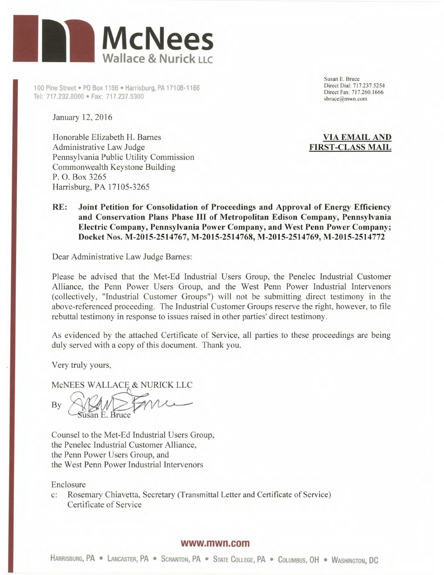

100 Pine Street • PO Box 1166 • Harrisburg, PA 17108-1166 Tel: 717.232.8000 • Fax: 717.237.5300

January 12, 2016

Honorable Elizabeth H. Barnes Administrative Law Judge Pennsylvania Public Utility Commission Commonwealth Keystone Building P. 0. Box 3265 Harrisburg, PA 17105-3265

Susan E. Bruce Direct Dial: 717.237.5254 Direct Fax: 717.260.1666 sbruce@mwn.com

# **VIA EMAIL AND FIRST-CLASS MAIL**

# **RE: Joint Petition for Consolidation of Proceedings and Approval of Energy Efficiency and Conservation Plans Phase III of Metropolitan Edison Company, Pennsylvania Electric Company, Pennsylvania Power Company, and West Penn Power Company; Docket Nos. M-2015-2514767, M-2015-2514768, M-2015-2514769, M-2015-2514772**

Dear Administrative Law Judge Barnes:

Please be advised that the Met-Ed Industrial Users Group, the Penelec Industrial Customer Alliance, the Penn Power Users Group, and the West Penn Power Industrial Intervenors (collectively, "Industrial Customer Groups") will not be submitting direct testimony in the above-referenced proceeding. The Industrial Customer Groups reserve the right, however, to file rebuttal testimony in response to issues raised in other parties' direct testimony.

As evidenced by the attached Certificate of Service, all parties to these proceedings are being duly served with a copy of this document. Thank you.

Very truly yours,

McNEES WALLACE & NURICK LLC

By

Counsel to the Met-Ed Industrial Users Group, the Penelec Industrial Customer Alliance, the Penn Power Users Group, and the West Penn Power Industrial Intervenors

Enclosure

c: Rosemary Chiavetta, Secretary (Transmittal Letter and Certificate of Service) Certificate of Service

#### **www.mwn.com**

HARRISBURG, PA · LANCASTER, PA · SCRANTON, PA · STATE COLLEGE, PA · COLUMBUS, OH · WASHINGTON, DC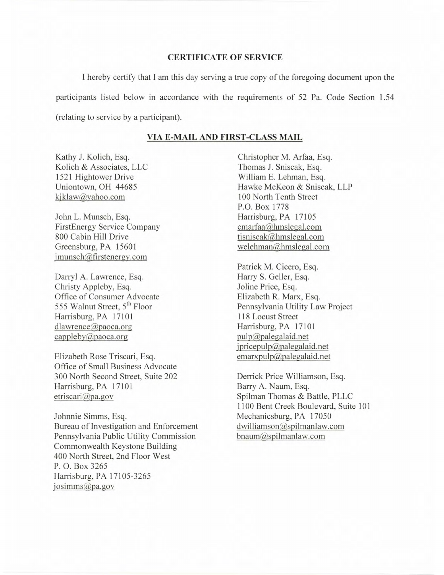# **CERTIFICATE OF SERVICE**

I hereby certify that I am this day serving a true copy of the foregoing document upon the participants listed below in accordance with the requirements of *52* Pa. Code Section 1.54 (relating to service by a participant).

### **VIA E-MAIL AND FIRST-CLASS MAIL**

Kathy J. Kolich, Esq. Kolich & Associates, LLC 1521 Hightower Drive Uniontown, OH *44685*  kjklaw@yahoo.com

John L. Munsch, Esq. FirstEnergy Service Company 800 Cabin Hill Drive Greensburg, PA 15601 jmunsch@firstenergy.com

Darryl A. Lawrence, Esq. Christy Appleby, Esq. Office of Consumer Advocate 555 Walnut Street, 5<sup>th</sup> Floor Harrisburg, PA 17101 dlawrence@paoca.org cappleby $\mathcal{D}$ paoca.org

Elizabeth Rose Triscari, Esq. Office of Small Business Advocate 300 North Second Street, Suite 202 Harrisburg, PA 17101 etriscari@pa.gov

Johnnie Simms, Esq. Bureau of Investigation and Enforcement Pennsylvania Public Utility Commission Commonwealth Keystone Building 400 North Street, 2nd Floor West P. 0. Box 3265 Harrisburg, PA 17105-3265 iosimms@pa.gov

Christopher M. Arfaa, Esq. Thomas J. Sniscak, Esq. William E. Lehman, Esq. Hawke McKeon & Sniscak, LLP 100 North Tenth Street P.O. Box 1778 Harrisburg, PA 17105  $cmarfaa$ @hmslegal.com tjsniscak $@$ hmslegal.com welehman@hmslegal.com

Patrick M. Cicero, Esq. Harry S. Geller, Esq. Joline Price, Esq. Elizabeth R. Marx, Esq. Pennsylvania Utility Law Project 118 Locust Street Harrisburg, PA 17101  $pulp@palegalaid.net$  $ipricepulp@palegalaid.net$  $emaryulp@palegalaid.net$ 

Derrick Price Williamson, Esq. Barry A. Naum, Esq. Spilman Thomas & Battle, PLLC 1100 Bent Creek Boulevard, Suite 101 Mechanicsburg, PA 17050  $d$ williamson $@$ spilmanlaw.com bnaum@spilmanlaw.com